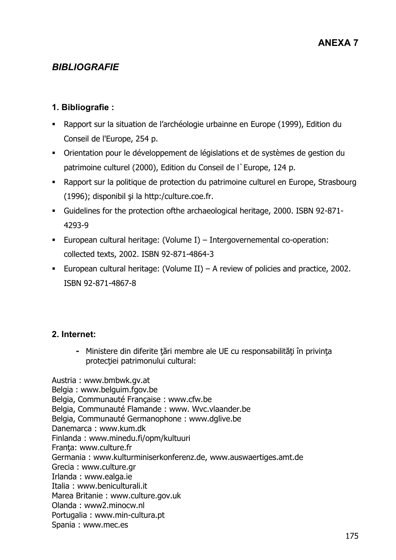# *BIBLIOGRAFIE*

### **1. Bibliografie :**

- Rapport sur la situation de l'archéologie urbainne en Europe (1999), Edition du Conseil de l'Europe, 254 p.
- Orientation pour le développement de législations et de systèmes de gestion du patrimoine culturel (2000), Edition du Conseil de l`Europe, 124 p.
- Rapport sur la politique de protection du patrimoine culturel en Europe, Strasbourg  $(1996)$ ; disponibil și la http:/culture.coe.fr.
- Guidelines for the protection ofthe archaeological heritage, 2000. ISBN 92-871- 4293-9
- European cultural heritage: (Volume I) Intergovernemental co-operation: collected texts, 2002. ISBN 92-871-4864-3
- European cultural heritage: (Volume II) A review of policies and practice, 2002. ISBN 92-871-4867-8

#### **2. Internet:**

- Ministere din diferite tări membre ale UE cu responsabilități în privința protecției patrimonului cultural:

Austria : www.bmbwk.gv.at Belgia : www.belguim.fgov.be Belgia, Communauté Française : www.cfw.be Belgia, Communauté Flamande : www. Wvc.vlaander.be Belgia, Communauté Germanophone : www.dglive.be Danemarca : www.kum.dk Finlanda : www.minedu.fi/opm/kultuuri Franta: www.culture.fr Germania : www.kulturminiserkonferenz.de, www.auswaertiges.amt.de Grecia : www.culture.gr Irlanda : www.ealga.ie Italia : www.beniculturali.it Marea Britanie : www.culture.gov.uk Olanda : www2.minocw.nl Portugalia : www.min-cultura.pt Spania : www.mec.es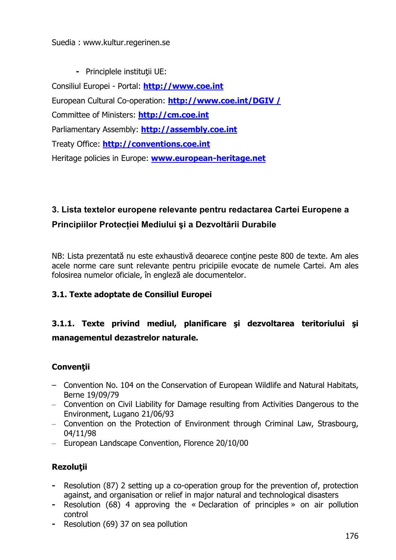#### Suedia : www.kultur.regerinen.se

**-** Principlele instituții UE:

Consiliul Europei - Portal: **http://www.coe.int** European Cultural Co-operation: **http://www.coe.int/DGIV /** Committee of Ministers: **http://cm.coe.int** Parliamentary Assembly: **http://assembly.coe.int** Treaty Office: **http://conventions.coe.int** Heritage policies in Europe: **www.european-heritage.net**

# **3. Lista textelor europene relevante pentru redactarea Cartei Europene a Principiilor Protec#iei Mediului %i a Dezvolt(rii Durabile**

NB: Lista prezentată nu este exhaustivă deoarece conține peste 800 de texte. Am ales acele norme care sunt relevante pentru pricipiile evocate de numele Cartei. Am ales folosirea numelor oficiale, în engleză ale documentelor.

# **3.1. Texte adoptate de Consiliul Europei**

# **3.1.1. Texte privind mediul, planificare &i dezvoltarea teritoriului &i managementul dezastrelor naturale.**

# **Conven(ii**

- Convention No. 104 on the Conservation of European Wildlife and Natural Habitats, Berne 19/09/79
- Convention on Civil Liability for Damage resulting from Activities Dangerous to the Environment, Lugano 21/06/93
- Convention on the Protection of Environment through Criminal Law, Strasbourg, 04/11/98
- European Landscape Convention, Florence 20/10/00

# **Rezolu(ii**

- **-** Resolution (87) 2 setting up a co-operation group for the prevention of, protection against, and organisation or relief in major natural and technological disasters
- **-** Resolution (68) 4 approving the « Declaration of principles » on air pollution control
- **-** Resolution (69) 37 on sea pollution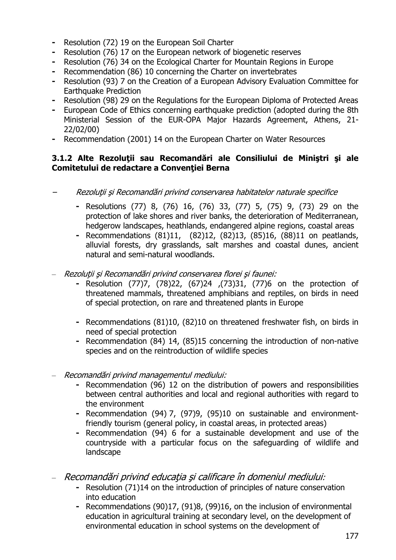- **-** Resolution (72) 19 on the European Soil Charter
- **-** Resolution (76) 17 on the European network of biogenetic reserves
- **-** Resolution (76) 34 on the Ecological Charter for Mountain Regions in Europe
- **-** Recommendation (86) 10 concerning the Charter on invertebrates
- **-** Resolution (93) 7 on the Creation of a European Advisory Evaluation Committee for Earthquake Prediction
- **-** Resolution (98) 29 on the Regulations for the European Diploma of Protected Areas
- **-** European Code of Ethics concerning earthquake prediction (adopted during the 8th Ministerial Session of the EUR-OPA Major Hazards Agreement, Athens, 21- 22/02/00)
- **-** Recommendation (2001) 14 on the European Charter on Water Resources

#### **3.1.2 Alte Rezolu(ii sau Recomand,ri ale Consiliului de Mini&tri &i ale Comitetului de redactare a Conven(iei Berna**

- –Rezoluții și Recomandări privind conservarea habitatelor naturale specifice
	- **-** Resolutions (77) 8, (76) 16, (76) 33, (77) 5, (75) 9, (73) 29 on the protection of lake shores and river banks, the deterioration of Mediterranean, hedgerow landscapes, heathlands, endangered alpine regions, coastal areas
	- **-** Recommendations (81)11, (82)12, (82)13, (85)16, (88)11 on peatlands, alluvial forests, dry grasslands, salt marshes and coastal dunes, ancient natural and semi-natural woodlands.
- Rezolutii și Recomandări privind conservarea florei și faunei:
	- **-** Resolution (77)7, (78)22, (67)24 ,(73)31, (77)6 on the protection of threatened mammals, threatened amphibians and reptiles, on birds in need of special protection, on rare and threatened plants in Europe
	- **-** Recommendations (81)10, (82)10 on threatened freshwater fish, on birds in need of special protection
	- **-** Recommendation (84) 14, (85)15 concerning the introduction of non-native species and on the reintroduction of wildlife species
- Recomandări privind managementul mediului:
	- **-** Recommendation (96) 12 on the distribution of powers and responsibilities between central authorities and local and regional authorities with regard to the environment
	- **-** Recommendation (94) 7, (97)9, (95)10 on sustainable and environmentfriendly tourism (general policy, in coastal areas, in protected areas)
	- **-** Recommendation (94) 6 for a sustainable development and use of the countryside with a particular focus on the safeguarding of wildlife and landscape
- Recomandări privind educatia și calificare în domeniul mediului:
	- **-** Resolution (71)14 on the introduction of principles of nature conservation into education
	- **-** Recommendations (90)17, (91)8, (99)16, on the inclusion of environmental education in agricultural training at secondary level, on the development of environmental education in school systems on the development of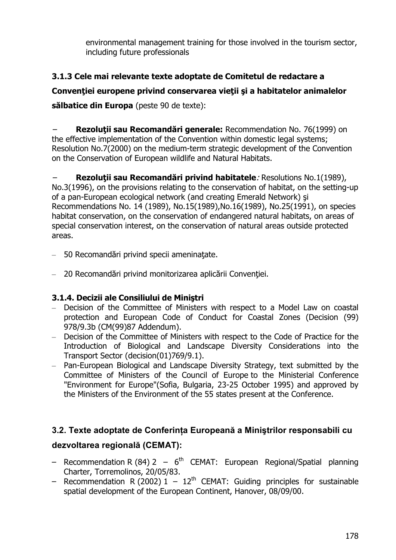environmental management training for those involved in the tourism sector, including future professionals

# **3.1.3 Cele mai relevante texte adoptate de Comitetul de redactare a**

# **Conven(iei europene privind conservarea vie(ii &i a habitatelor animalelor**

**s,lbatice din Europa** (peste 90 de texte):

–**Rezolutii sau Recomandări generale:** Recommendation No. 76(1999) on the effective implementation of the Convention within domestic legal systems; Resolution No.7(2000) on the medium-term strategic development of the Convention on the Conservation of European wildlife and Natural Habitats.

– **Rezolu(ii sau Recomand,ri privind habitatele**: Resolutions No.1(1989), No.3(1996), on the provisions relating to the conservation of habitat, on the setting-up of a pan-European ecological network (and creating Emerald Network) si Recommendations No. 14 (1989), No.15(1989),No.16(1989), No.25(1991), on species habitat conservation, on the conservation of endangered natural habitats, on areas of special conservation interest, on the conservation of natural areas outside protected areas.

- $-$  50 Recomandări privind specii ameninatate.
- 20 Recomandări privind monitorizarea aplicării Conventiei.

#### **3.1.4. Decizii ale Consiliului de Mini&tri**

- Decision of the Committee of Ministers with respect to a Model Law on coastal protection and European Code of Conduct for Coastal Zones (Decision (99) 978/9.3b (CM(99)87 Addendum).
- Decision of the Committee of Ministers with respect to the Code of Practice for the Introduction of Biological and Landscape Diversity Considerations into the Transport Sector (decision(01)769/9.1).
- Pan-European Biological and Landscape Diversity Strategy, text submitted by the Committee of Ministers of the Council of Europe to the Ministerial Conference "Environment for Europe"(Sofia, Bulgaria, 23-25 October 1995) and approved by the Ministers of the Environment of the 55 states present at the Conference.

#### **3.2. Texte adoptate de Conferin#a European( a Mini%trilor responsabili cu**

#### **dezvoltarea regional( (CEMAT):**

- Recommendation R (84) 2  $6<sup>th</sup>$  CEMAT: European Regional/Spatial planning Charter, Torremolinos, 20/05/83.
- Recommendation R (2002)  $1 12^{th}$  CEMAT: Guiding principles for sustainable spatial development of the European Continent, Hanover, 08/09/00.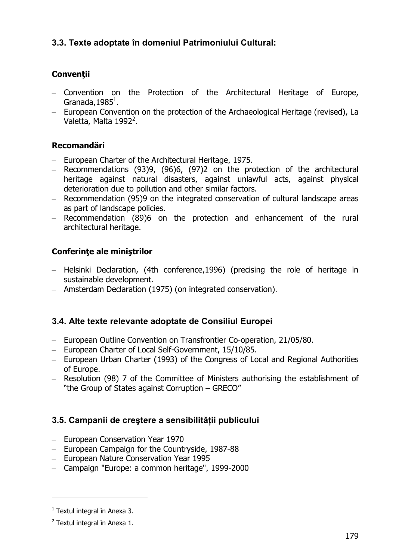# **3.3. Texte adoptate în domeniul Patrimoniului Cultural:**

# **Conven(ii**

- Convention on the Protection of the Architectural Heritage of Europe, Granada, 1985 $^1$ .
- European Convention on the protection of the Archaeological Heritage (revised), La Valetta, Malta 1992<sup>2</sup>.

# **Recomand,ri**

- European Charter of the Architectural Heritage, 1975.
- Recommendations (93)9, (96)6, (97)2 on the protection of the architectural heritage against natural disasters, against unlawful acts, against physical deterioration due to pollution and other similar factors.
- Recommendation (95)9 on the integrated conservation of cultural landscape areas as part of landscape policies.
- Recommendation (89)6 on the protection and enhancement of the rural architectural heritage.

# **Conferin(e ale mini&trilor**

- Helsinki Declaration, (4th conference,1996) (precising the role of heritage in sustainable development.
- Amsterdam Declaration (1975) (on integrated conservation).

# **3.4. Alte texte relevante adoptate de Consiliul Europei**

- European Outline Convention on Transfrontier Co-operation, 21/05/80.
- European Charter of Local Self-Government, 15/10/85.
- European Urban Charter (1993) of the Congress of Local and Regional Authorities of Europe.
- Resolution (98) 7 of the Committee of Ministers authorising the establishment of "the Group of States against Corruption – GRECO"

#### **3.5. Campanii de cre%tere a sensibilit(#ii publicului**

- European Conservation Year 1970
- European Campaign for the Countryside, 1987-88
- European Nature Conservation Year 1995
- Campaign "Europe: a common heritage", 1999-2000

 $1$  Textul integral în Anexa 3.

 $2$  Textul integral în Anexa 1.